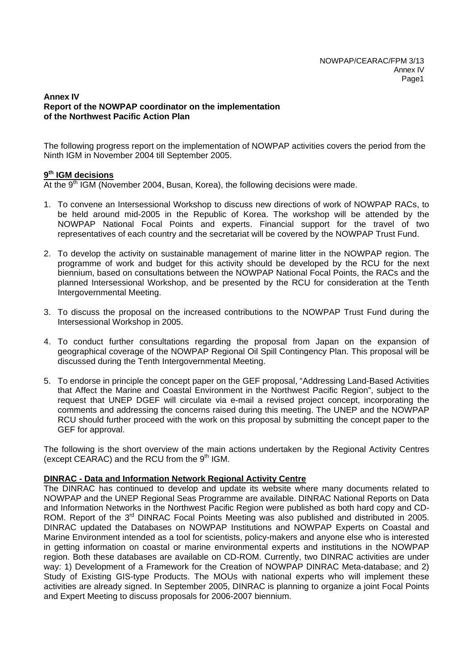### **Annex IV Report of the NOWPAP coordinator on the implementation of the Northwest Pacific Action Plan**

The following progress report on the implementation of NOWPAP activities covers the period from the Ninth IGM in November 2004 till September 2005.

## **9th IGM decisions**

At the 9<sup>th</sup> IGM (November 2004, Busan, Korea), the following decisions were made.

- 1. To convene an Intersessional Workshop to discuss new directions of work of NOWPAP RACs, to be held around mid-2005 in the Republic of Korea. The workshop will be attended by the NOWPAP National Focal Points and experts. Financial support for the travel of two representatives of each country and the secretariat will be covered by the NOWPAP Trust Fund.
- 2. To develop the activity on sustainable management of marine litter in the NOWPAP region. The programme of work and budget for this activity should be developed by the RCU for the next biennium, based on consultations between the NOWPAP National Focal Points, the RACs and the planned Intersessional Workshop, and be presented by the RCU for consideration at the Tenth Intergovernmental Meeting.
- 3. To discuss the proposal on the increased contributions to the NOWPAP Trust Fund during the Intersessional Workshop in 2005.
- 4. To conduct further consultations regarding the proposal from Japan on the expansion of geographical coverage of the NOWPAP Regional Oil Spill Contingency Plan. This proposal will be discussed during the Tenth Intergovernmental Meeting.
- 5. To endorse in principle the concept paper on the GEF proposal, "Addressing Land-Based Activities that Affect the Marine and Coastal Environment in the Northwest Pacific Region", subject to the request that UNEP DGEF will circulate via e-mail a revised project concept, incorporating the comments and addressing the concerns raised during this meeting. The UNEP and the NOWPAP RCU should further proceed with the work on this proposal by submitting the concept paper to the GEF for approval.

The following is the short overview of the main actions undertaken by the Regional Activity Centres (except CEARAC) and the RCU from the  $9<sup>th</sup>$  IGM.

# **DINRAC - Data and Information Network Regional Activity Centre**

The DINRAC has continued to develop and update its website where many documents related to NOWPAP and the UNEP Regional Seas Programme are available. DINRAC National Reports on Data and Information Networks in the Northwest Pacific Region were published as both hard copy and CD-ROM. Report of the 3<sup>rd</sup> DINRAC Focal Points Meeting was also published and distributed in 2005. DINRAC updated the Databases on NOWPAP Institutions and NOWPAP Experts on Coastal and Marine Environment intended as a tool for scientists, policy-makers and anyone else who is interested in getting information on coastal or marine environmental experts and institutions in the NOWPAP region. Both these databases are available on CD-ROM. Currently, two DINRAC activities are under way: 1) Development of a Framework for the Creation of NOWPAP DINRAC Meta-database; and 2) Study of Existing GIS-type Products. The MOUs with national experts who will implement these activities are already signed. In September 2005, DINRAC is planning to organize a joint Focal Points and Expert Meeting to discuss proposals for 2006-2007 biennium.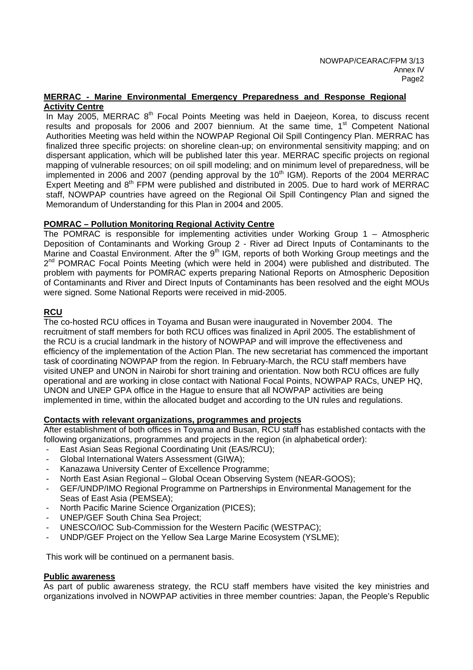### **MERRAC - Marine Environmental Emergency Preparedness and Response Regional Activity Centre**

In May 2005, MERRAC 8<sup>th</sup> Focal Points Meeting was held in Daejeon, Korea, to discuss recent results and proposals for 2006 and 2007 biennium. At the same time, 1<sup>st</sup> Competent National Authorities Meeting was held within the NOWPAP Regional Oil Spill Contingency Plan. MERRAC has finalized three specific projects: on shoreline clean-up; on environmental sensitivity mapping; and on dispersant application, which will be published later this year. MERRAC specific projects on regional mapping of vulnerable resources; on oil spill modeling; and on minimum level of preparedness, will be implemented in 2006 and 2007 (pending approval by the  $10<sup>th</sup>$  IGM). Reports of the 2004 MERRAC Expert Meeting and 8<sup>th</sup> FPM were published and distributed in 2005. Due to hard work of MERRAC staff, NOWPAP countries have agreed on the Regional Oil Spill Contingency Plan and signed the Memorandum of Understanding for this Plan in 2004 and 2005.

## **POMRAC – Pollution Monitoring Regional Activity Centre**

The POMRAC is responsible for implementing activities under Working Group 1 – Atmospheric Deposition of Contaminants and Working Group 2 - River ad Direct Inputs of Contaminants to the Marine and Coastal Environment. After the 9<sup>th</sup> IGM, reports of both Working Group meetings and the  $2^{nd}$  POMRAC Focal Points Meeting (which were held in 2004) were published and distributed. The problem with payments for POMRAC experts preparing National Reports on Atmospheric Deposition of Contaminants and River and Direct Inputs of Contaminants has been resolved and the eight MOUs were signed. Some National Reports were received in mid-2005.

## **RCU**

The co-hosted RCU offices in Toyama and Busan were inaugurated in November 2004. The recruitment of staff members for both RCU offices was finalized in April 2005. The establishment of the RCU is a crucial landmark in the history of NOWPAP and will improve the effectiveness and efficiency of the implementation of the Action Plan. The new secretariat has commenced the important task of coordinating NOWPAP from the region. In February-March, the RCU staff members have visited UNEP and UNON in Nairobi for short training and orientation. Now both RCU offices are fully operational and are working in close contact with National Focal Points, NOWPAP RACs, UNEP HQ, UNON and UNEP GPA office in the Hague to ensure that all NOWPAP activities are being implemented in time, within the allocated budget and according to the UN rules and regulations.

### **Contacts with relevant organizations, programmes and projects**

After establishment of both offices in Toyama and Busan, RCU staff has established contacts with the following organizations, programmes and projects in the region (in alphabetical order):

- East Asian Seas Regional Coordinating Unit (EAS/RCU);
- Global International Waters Assessment (GIWA);
- Kanazawa University Center of Excellence Programme;
- North East Asian Regional Global Ocean Observing System (NEAR-GOOS);
- GEF/UNDP/IMO Regional Programme on Partnerships in Environmental Management for the Seas of East Asia (PEMSEA);
- North Pacific Marine Science Organization (PICES);
- UNEP/GEF South China Sea Project;
- UNESCO/IOC Sub-Commission for the Western Pacific (WESTPAC);
- UNDP/GEF Project on the Yellow Sea Large Marine Ecosystem (YSLME);

This work will be continued on a permanent basis.

### **Public awareness**

As part of public awareness strategy, the RCU staff members have visited the key ministries and organizations involved in NOWPAP activities in three member countries: Japan, the People's Republic